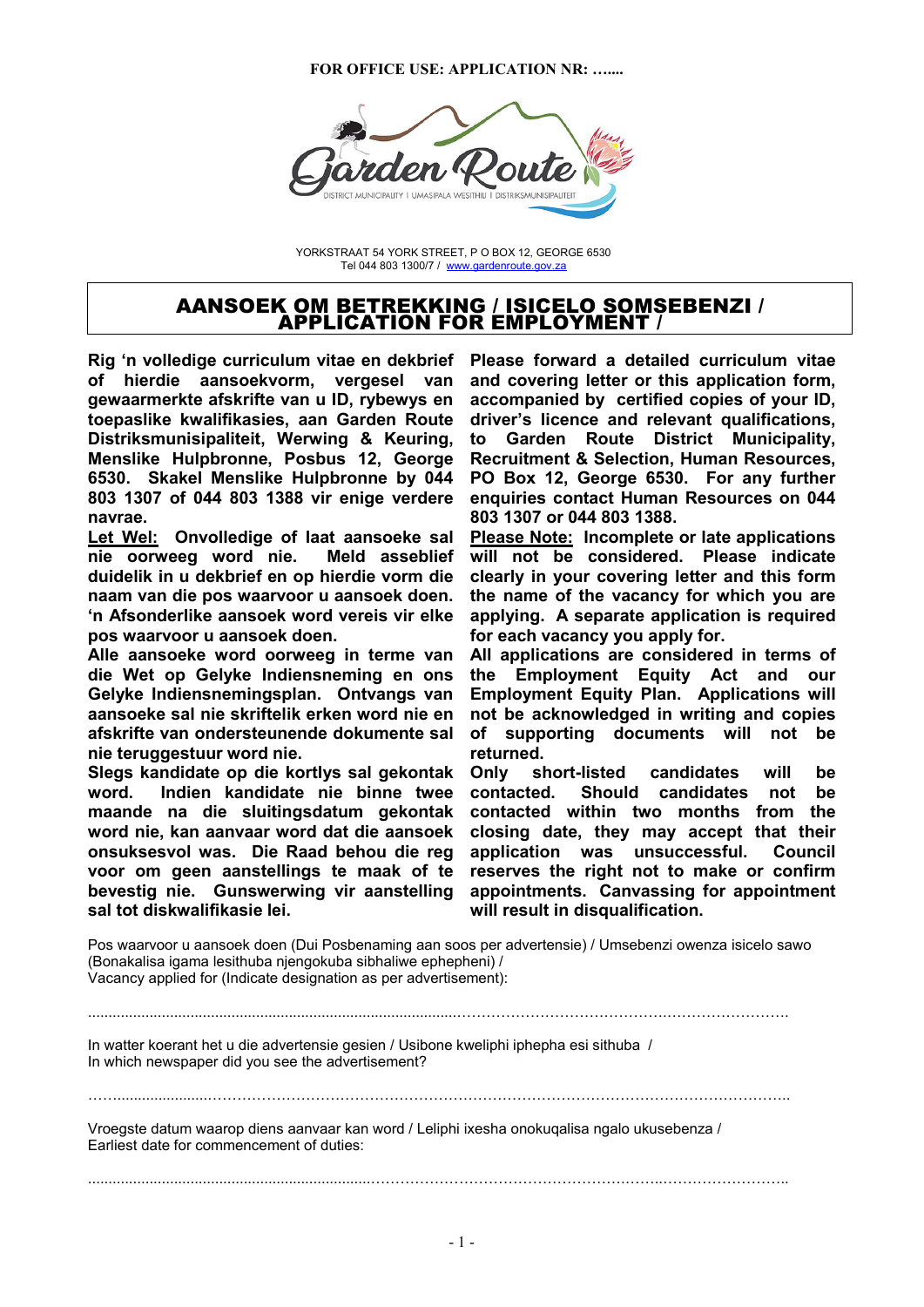#### **FOR OFFICE USE: APPLICATION NR: …....**



YORKSTRAAT 54 YORK STREET, P O BOX 12, GEORGE 6530 Tel 044 803 1300/7 / www.gardenroute.gov.za

#### AANSOEK OM BETREKKING / ISICELO SOMSEBENZI / APPLICATION FOR EMPLOYMENT /

**Rig 'n volledige curriculum vitae en dekbrief of hierdie aansoekvorm, vergesel van gewaarmerkte afskrifte van u ID, rybewys en toepaslike kwalifikasies, aan Garden Route Distriksmunisipaliteit, Werwing & Keuring, Menslike Hulpbronne, Posbus 12, George 6530. Skakel Menslike Hulpbronne by 044 803 1307 of 044 803 1388 vir enige verdere navrae.** 

**Let Wel: Onvolledige of laat aansoeke sal nie oorweeg word nie. Meld asseblief duidelik in u dekbrief en op hierdie vorm die naam van die pos waarvoor u aansoek doen. 'n Afsonderlike aansoek word vereis vir elke pos waarvoor u aansoek doen.** 

**Alle aansoeke word oorweeg in terme van die Wet op Gelyke Indiensneming en ons Gelyke Indiensnemingsplan. Ontvangs van aansoeke sal nie skriftelik erken word nie en afskrifte van ondersteunende dokumente sal nie teruggestuur word nie.** 

**Slegs kandidate op die kortlys sal gekontak word. Indien kandidate nie binne twee maande na die sluitingsdatum gekontak word nie, kan aanvaar word dat die aansoek onsuksesvol was. Die Raad behou die reg voor om geen aanstellings te maak of te bevestig nie. Gunswerwing vir aanstelling sal tot diskwalifikasie lei.** 

**Please forward a detailed curriculum vitae and covering letter or this application form, accompanied by certified copies of your ID, driver's licence and relevant qualifications, to Garden Route District Municipality, Recruitment & Selection, Human Resources, PO Box 12, George 6530. For any further enquiries contact Human Resources on 044 803 1307 or 044 803 1388.** 

**Please Note: Incomplete or late applications will not be considered. Please indicate clearly in your covering letter and this form the name of the vacancy for which you are applying. A separate application is required for each vacancy you apply for.** 

**All applications are considered in terms of the Employment Equity Act and our Employment Equity Plan. Applications will not be acknowledged in writing and copies of supporting documents will not be returned.** 

**Only short-listed candidates will be contacted. Should candidates not be contacted within two months from the closing date, they may accept that their application was unsuccessful. Council reserves the right not to make or confirm appointments. Canvassing for appointment will result in disqualification.** 

Pos waarvoor u aansoek doen (Dui Posbenaming aan soos per advertensie) / Umsebenzi owenza isicelo sawo (Bonakalisa igama lesithuba njengokuba sibhaliwe ephepheni) / Vacancy applied for (Indicate designation as per advertisement):

In watter koerant het u die advertensie gesien / Usibone kweliphi iphepha esi sithuba / In which newspaper did you see the advertisement?

99......................999999999999999999999999999999999999999..

..........................................................................................99999999999999.99999999.

Vroegste datum waarop diens aanvaar kan word / Leliphi ixesha onokuqalisa ngalo ukusebenza / Earliest date for commencement of duties:

.....................................................................99999999999999999.99..99999999..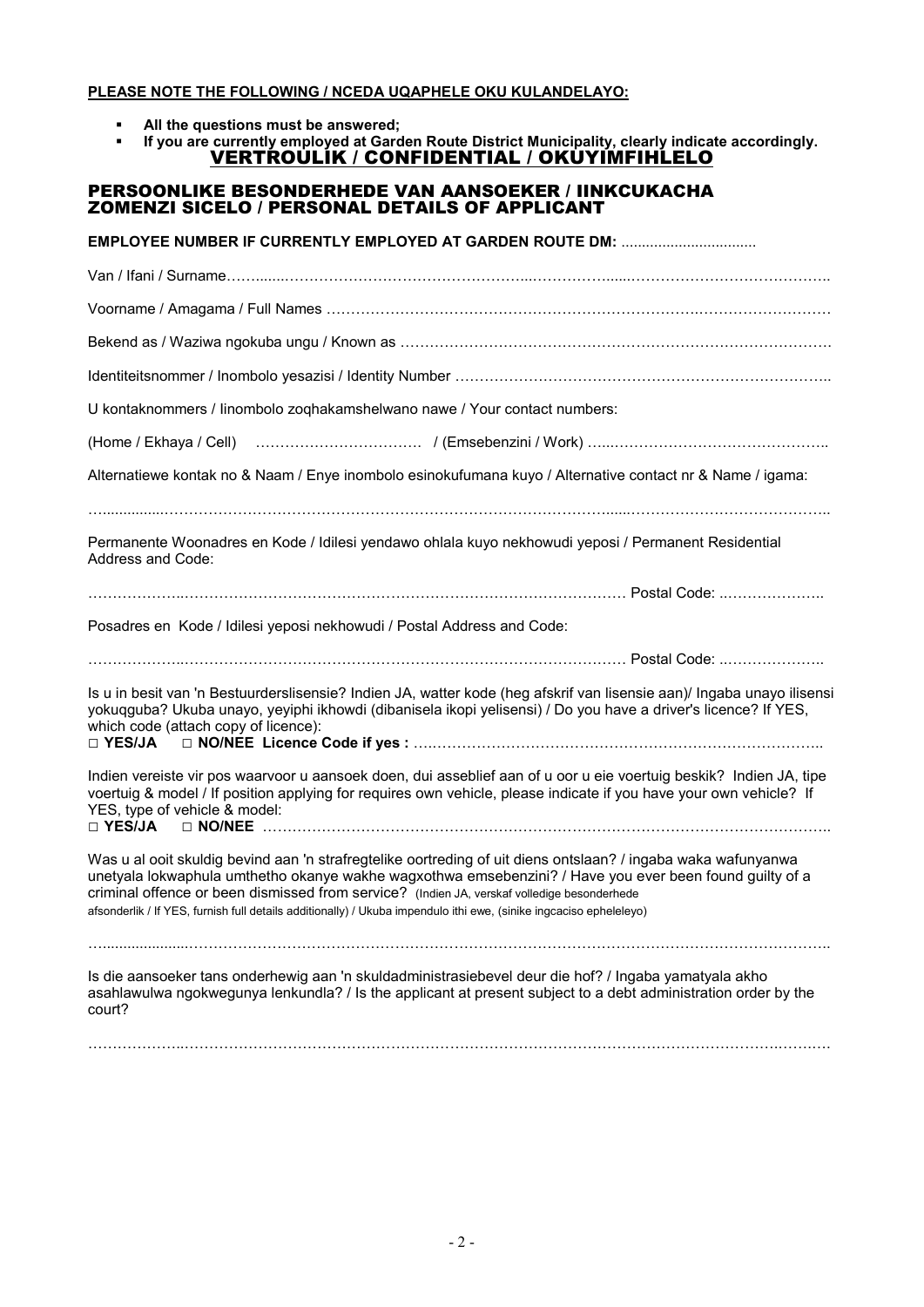#### **PLEASE NOTE THE FOLLOWING / NCEDA UQAPHELE OKU KULANDELAYO:**

- **All the questions must be answered;**<br>**E.** If you are currently employed at Gard
	- **If you are currently employed at Garden Route District Municipality, clearly indicate accordingly.**  VERTROULIK / CONFIDENTIAL / OKUYIMFIHLELO

### PERSOONLIKE BESONDERHEDE VAN AANSOEKER / IINKCUKACHA ZOMENZI SICELO / PERSONAL DETAILS OF APPLICANT

**EMPLOYEE NUMBER IF CURRENTLY EMPLOYED AT GARDEN ROUTE DM:** ................................. Van / Ifani / Surname99.......9999999999999999...99999......9999999999999.. Voorname / Amagama / Full Names 9999999999999999999999999.999999999 Bekend as / Waziwa ngokuba ungu / Known as 99999999999999999999999999999. Identiteitsnommer / Inombolo yesazisi / Identity Number 9999999999999999999999999.. U kontaknommers / Iinombolo zoqhakamshelwano nawe / Your contact numbers: (Home / Ekhaya / Cell) 99999999999. / (Emsebenzini / Work) 9...99999999999999.. Alternatiewe kontak no & Naam / Enye inombolo esinokufumana kuyo / Alternative contact nr & Name / igama: 9...............999999999999999999999999999999......9999999999999.. Permanente Woonadres en Kode / Idilesi yendawo ohlala kuyo nekhowudi yeposi / Permanent Residential Address and Code: 999999..999999999999999999999999999999 Postal Code: ..999999.. Posadres en Kode / Idilesi yeposi nekhowudi / Postal Address and Code: 999999..999999999999999999999999999999 Postal Code: ..999999.. Is u in besit van 'n Bestuurderslisensie? Indien JA, watter kode (heg afskrif van lisensie aan)/ Ingaba unayo ilisensi yokuqguba? Ukuba unayo, yeyiphi ikhowdi (dibanisela ikopi yelisensi) / Do you have a driver's licence? If YES, which code (attach copy of licence):<br> $\Box$  **YES/JA**  $\Box$  **NO/NEE Licence** □ **YES/JA** □ **NO/NEE Licence Code if yes :** 9.99999999999999999999999999.. Indien vereiste vir pos waarvoor u aansoek doen, dui asseblief aan of u oor u eie voertuig beskik? Indien JA, tipe voertuig & model / If position applying for requires own vehicle, please indicate if you have your own vehicle? If YES, type of vehicle & model:<br> $\Box$  YES/JA  $\Box$  NO/NEE .... □ **YES/JA** □ **NO/NEE** 99999999999999999999999999999999999999.. Was u al ooit skuldig bevind aan 'n strafregtelike oortreding of uit diens ontslaan? / ingaba waka wafunyanwa unetyala lokwaphula umthetho okanye wakhe wagxothwa emsebenzini? / Have you ever been found guilty of a criminal offence or been dismissed from service? (Indien JA, verskaf volledige besonderhede afsonderlik / If YES, furnish full details additionally) / Ukuba impendulo ithi ewe, (sinike ingcaciso epheleleyo) 9.....................9999999999999999999999999999999999999999999.. Is die aansoeker tans onderhewig aan 'n skuldadministrasiebevel deur die hof? / Ingaba yamatyala akho asahlawulwa ngokwegunya lenkundla? / Is the applicant at present subject to a debt administration order by the court?

999999..9999999999999999999999999999999999999999.99.9.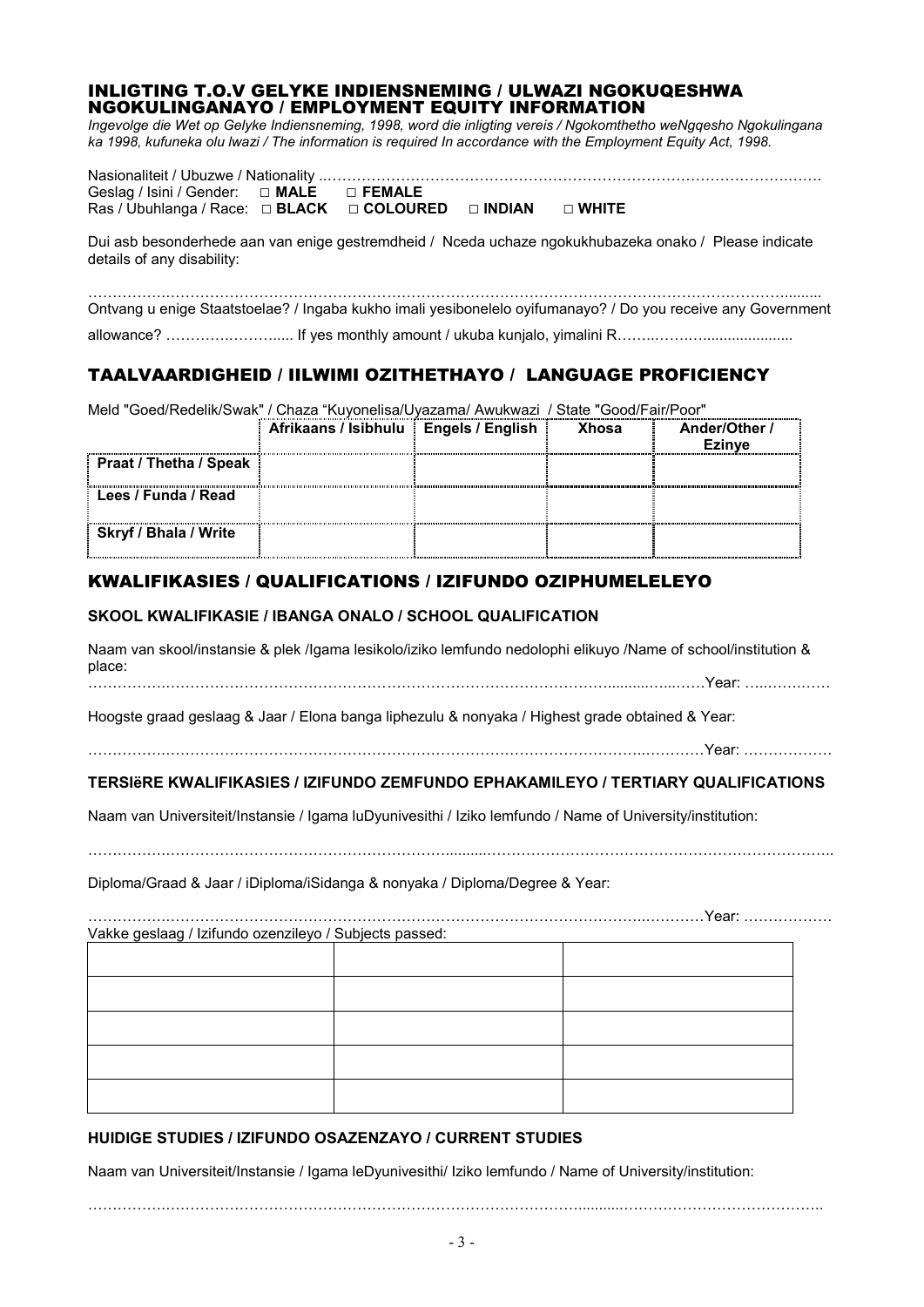#### INLIGTING T.O.V GELYKE INDIENSNEMING / ULWAZI NGOKUQESHWA NGOKULINGANAYO / EMPLOYMENT EQUITY INFORMATION

*Ingevolge die Wet op Gelyke Indiensneming, 1998, word die inligting vereis / Ngokomthetho weNgqesho Ngokulingana ka 1998, kufuneka olu lwazi / The information is required In accordance with the Employment Equity Act, 1998.* 

| Geslag / Isini / Gender: $\Box$ <b>MALE</b> $\Box$ <b>FEMALE</b>                |  |  |
|---------------------------------------------------------------------------------|--|--|
| Ras / Ubuhlanga / Race: $\Box$ BLACK $\Box$ COLOURED $\Box$ INDIAN $\Box$ WHITE |  |  |

Dui asb besonderhede aan van enige gestremdheid / Nceda uchaze ngokukhubazeka onako / Please indicate details of any disability:

99999.999999999999999999999999999999999999999999......... Ontvang u enige Staatstoelae? / Ingaba kukho imali yesibonelelo oyifumanayo? / Do you receive any Government allowance? 9999.999..... If yes monthly amount / ukuba kunjalo, yimalini R99..99.9......................

# TAALVAARDIGHEID / IILWIMI OZITHETHAYO / LANGUAGE PROFICIENCY

| Meld "Goed/Redelik/Swak" / Chaza "Kuyonelisa/Uyazama/ Awukwazi / State "Good/Fair/Poor" |                                         |  |              |               |
|-----------------------------------------------------------------------------------------|-----------------------------------------|--|--------------|---------------|
|                                                                                         | Afrikaans / Isibhulu   Engels / English |  | <b>Xhosa</b> | Ander/Other / |
|                                                                                         |                                         |  |              | <b>Ezinve</b> |
| Praat / Thetha / Speak                                                                  |                                         |  |              |               |
| Lees / Funda / Read                                                                     |                                         |  |              |               |
| <b>Skryf / Bhala / Write</b>                                                            |                                         |  |              |               |

## KWALIFIKASIES / QUALIFICATIONS / IZIFUNDO OZIPHUMELELEYO

#### **SKOOL KWALIFIKASIE / IBANGA ONALO / SCHOOL QUALIFICATION**

Naam van skool/instansie & plek /Igama lesikolo/iziko lemfundo nedolophi elikuyo /Name of school/institution & place: 99999.999999999999999999999999999999..........9...99Year: 9..99.99

Hoogste graad geslaag & Jaar / Elona banga liphezulu & nonyaka / Highest grade obtained & Year:

99999.99999999999999999999999999999999..9999Year: 999999

### **TERSIëRE KWALIFIKASIES / IZIFUNDO ZEMFUNDO EPHAKAMILEYO / TERTIARY QUALIFICATIONS**

Naam van Universiteit/Instansie / Igama luDyunivesithi / Iziko lemfundo / Name of University/institution:

Diploma/Graad & Jaar / iDiploma/iSidanga & nonyaka / Diploma/Degree & Year:

|                                                        | Year: |
|--------------------------------------------------------|-------|
| Vakke geslaag / Izifundo ozenzileyo / Subjects passed: |       |
|                                                        |       |
|                                                        |       |
|                                                        |       |
|                                                        |       |
|                                                        |       |
|                                                        |       |
|                                                        |       |
|                                                        |       |
|                                                        |       |
|                                                        |       |

### **HUIDIGE STUDIES / IZIFUNDO OSAZENZAYO / CURRENT STUDIES**

Naam van Universiteit/Instansie / Igama leDyunivesithi/ Iziko lemfundo / Name of University/institution:

99999.9999999999999999999999999999...........9999999999999..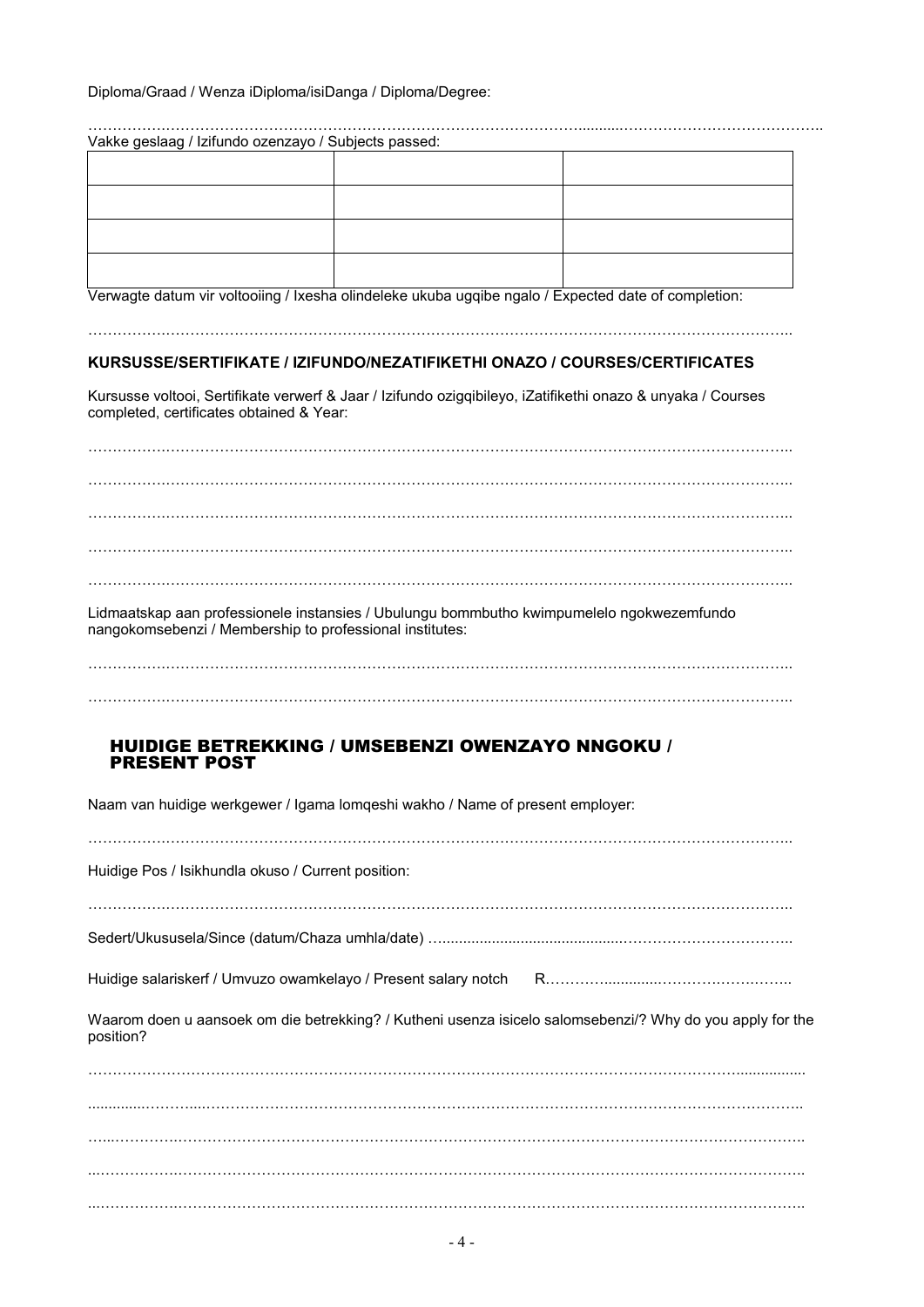Diploma/Graad / Wenza iDiploma/isiDanga / Diploma/Degree:

| Vakke geslaag / Izifundo ozenzayo / Subjects passed: |  |  |  |  |
|------------------------------------------------------|--|--|--|--|
|                                                      |  |  |  |  |
|                                                      |  |  |  |  |
|                                                      |  |  |  |  |
|                                                      |  |  |  |  |

Verwagte datum vir voltooiing / Ixesha olindeleke ukuba ugqibe ngalo / Expected date of completion:

99999.999999999999999999999999999999999999999999..

#### **KURSUSSE/SERTIFIKATE / IZIFUNDO/NEZATIFIKETHI ONAZO / COURSES/CERTIFICATES**

Kursusse voltooi, Sertifikate verwerf & Jaar / Izifundo ozigqibileyo, iZatifikethi onazo & unyaka / Courses completed, certificates obtained & Year:

99999.999999999999999999999999999999999999999999.. 99999.999999999999999999999999999999999999999999.. 99999.999999999999999999999999999999999999999999.. 99999.999999999999999999999999999999999999999999.. 99999.999999999999999999999999999999999999999999..

Lidmaatskap aan professionele instansies / Ubulungu bommbutho kwimpumelelo ngokwezemfundo nangokomsebenzi / Membership to professional institutes:

99999.999999999999999999999999999999999999999999..

#### HUIDIGE BETREKKING / UMSEBENZI OWENZAYO NNGOKU / PRESENT POST

Naam van huidige werkgewer / Igama lomqeshi wakho / Name of present employer: 99999.999999999999999999999999999999999999999999.. Huidige Pos / Isikhundla okuso / Current position: 99999.999999999999999999999999999999999999999999.. Sedert/Ukususela/Since (datum/Chaza umhla/date) 9............................................99999999999.. Huidige salariskerf / Umvuzo owamkelayo / Present salary notch R9999.............9999.99.99.. Waarom doen u aansoek om die betrekking? / Kutheni usenza isicelo salomsebenzi/? Why do you apply for the position? 99999999999999999999999999999999999999999999................. ...99999.999999999999999999999999999999999999999999..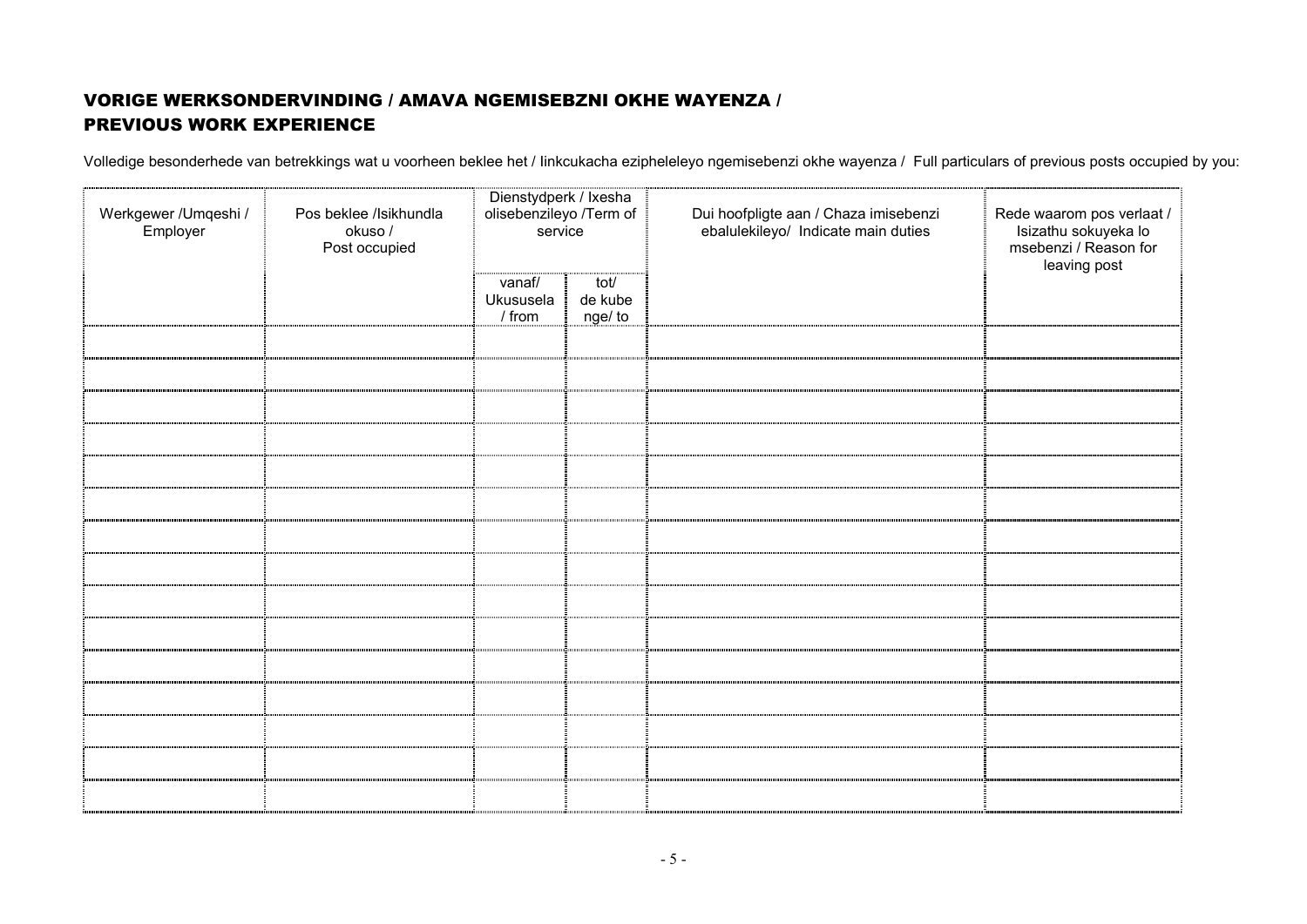# VORIGE WERKSONDERVINDING / AMAVA NGEMISEBZNI OKHE WAYENZA / PREVIOUS WORK EXPERIENCE

Volledige besonderhede van betrekkings wat u voorheen beklee het / Iinkcukacha ezipheleleyo ngemisebenzi okhe wayenza / Full particulars of previous posts occupied by you:

| Werkgewer / Umqeshi /<br>Employer | Pos beklee /Isikhundla<br>okuso /<br>Post occupied | Dienstydperk / Ixesha<br>olisebenzileyo /Term of<br>service |                            | Dui hoofpligte aan / Chaza imisebenzi<br>ebalulekileyo/ Indicate main duties | Rede waarom pos verlaat /<br>Isizathu sokuyeka lo<br>msebenzi / Reason for<br>leaving post |
|-----------------------------------|----------------------------------------------------|-------------------------------------------------------------|----------------------------|------------------------------------------------------------------------------|--------------------------------------------------------------------------------------------|
|                                   |                                                    | vanaf/<br>Ukususela<br>$/$ from                             | tot/<br>de kube<br>nge/ to |                                                                              |                                                                                            |
|                                   |                                                    |                                                             |                            |                                                                              |                                                                                            |
|                                   |                                                    |                                                             |                            |                                                                              |                                                                                            |
|                                   |                                                    |                                                             |                            |                                                                              |                                                                                            |
|                                   |                                                    |                                                             |                            |                                                                              |                                                                                            |
|                                   |                                                    |                                                             |                            |                                                                              |                                                                                            |
|                                   |                                                    |                                                             |                            |                                                                              |                                                                                            |
|                                   |                                                    |                                                             |                            |                                                                              |                                                                                            |
|                                   |                                                    |                                                             |                            |                                                                              |                                                                                            |
|                                   |                                                    |                                                             |                            |                                                                              |                                                                                            |
|                                   |                                                    |                                                             |                            |                                                                              |                                                                                            |
|                                   |                                                    |                                                             |                            |                                                                              |                                                                                            |
|                                   |                                                    |                                                             |                            |                                                                              |                                                                                            |